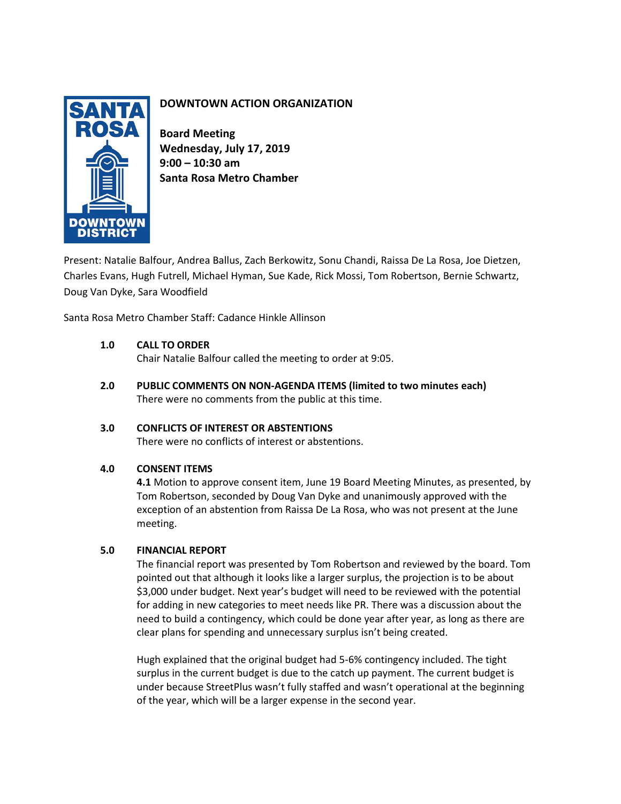

# **DOWNTOWN ACTION ORGANIZATION**

**Board Meeting Wednesday, July 17, 2019 9:00 – 10:30 am Santa Rosa Metro Chamber**

Present: Natalie Balfour, Andrea Ballus, Zach Berkowitz, Sonu Chandi, Raissa De La Rosa, Joe Dietzen, Charles Evans, Hugh Futrell, Michael Hyman, Sue Kade, Rick Mossi, Tom Robertson, Bernie Schwartz, Doug Van Dyke, Sara Woodfield

Santa Rosa Metro Chamber Staff: Cadance Hinkle Allinson

# **1.0 CALL TO ORDER**

Chair Natalie Balfour called the meeting to order at 9:05.

**2.0 PUBLIC COMMENTS ON NON-AGENDA ITEMS (limited to two minutes each)** There were no comments from the public at this time.

# **3.0 CONFLICTS OF INTEREST OR ABSTENTIONS**

There were no conflicts of interest or abstentions.

# **4.0 CONSENT ITEMS**

**4.1** Motion to approve consent item, June 19 Board Meeting Minutes, as presented, by Tom Robertson, seconded by Doug Van Dyke and unanimously approved with the exception of an abstention from Raissa De La Rosa, who was not present at the June meeting.

# **5.0 FINANCIAL REPORT**

The financial report was presented by Tom Robertson and reviewed by the board. Tom pointed out that although it looks like a larger surplus, the projection is to be about \$3,000 under budget. Next year's budget will need to be reviewed with the potential for adding in new categories to meet needs like PR. There was a discussion about the need to build a contingency, which could be done year after year, as long as there are clear plans for spending and unnecessary surplus isn't being created.

Hugh explained that the original budget had 5-6% contingency included. The tight surplus in the current budget is due to the catch up payment. The current budget is under because StreetPlus wasn't fully staffed and wasn't operational at the beginning of the year, which will be a larger expense in the second year.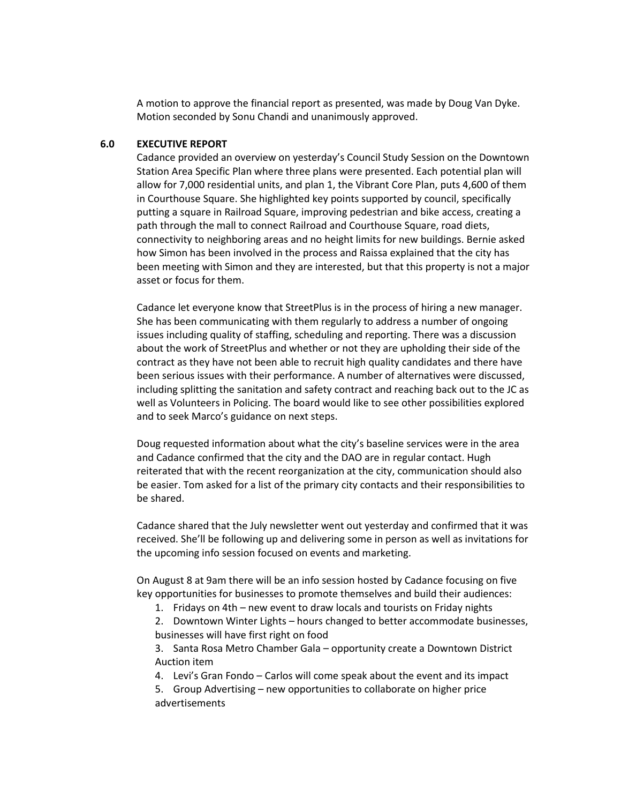A motion to approve the financial report as presented, was made by Doug Van Dyke. Motion seconded by Sonu Chandi and unanimously approved.

#### **6.0 EXECUTIVE REPORT**

Cadance provided an overview on yesterday's Council Study Session on the Downtown Station Area Specific Plan where three plans were presented. Each potential plan will allow for 7,000 residential units, and plan 1, the Vibrant Core Plan, puts 4,600 of them in Courthouse Square. She highlighted key points supported by council, specifically putting a square in Railroad Square, improving pedestrian and bike access, creating a path through the mall to connect Railroad and Courthouse Square, road diets, connectivity to neighboring areas and no height limits for new buildings. Bernie asked how Simon has been involved in the process and Raissa explained that the city has been meeting with Simon and they are interested, but that this property is not a major asset or focus for them.

Cadance let everyone know that StreetPlus is in the process of hiring a new manager. She has been communicating with them regularly to address a number of ongoing issues including quality of staffing, scheduling and reporting. There was a discussion about the work of StreetPlus and whether or not they are upholding their side of the contract as they have not been able to recruit high quality candidates and there have been serious issues with their performance. A number of alternatives were discussed, including splitting the sanitation and safety contract and reaching back out to the JC as well as Volunteers in Policing. The board would like to see other possibilities explored and to seek Marco's guidance on next steps.

Doug requested information about what the city's baseline services were in the area and Cadance confirmed that the city and the DAO are in regular contact. Hugh reiterated that with the recent reorganization at the city, communication should also be easier. Tom asked for a list of the primary city contacts and their responsibilities to be shared.

Cadance shared that the July newsletter went out yesterday and confirmed that it was received. She'll be following up and delivering some in person as well as invitations for the upcoming info session focused on events and marketing.

On August 8 at 9am there will be an info session hosted by Cadance focusing on five key opportunities for businesses to promote themselves and build their audiences:

1. Fridays on 4th – new event to draw locals and tourists on Friday nights

2. Downtown Winter Lights – hours changed to better accommodate businesses, businesses will have first right on food

3. Santa Rosa Metro Chamber Gala – opportunity create a Downtown District Auction item

4. Levi's Gran Fondo – Carlos will come speak about the event and its impact

5. Group Advertising – new opportunities to collaborate on higher price advertisements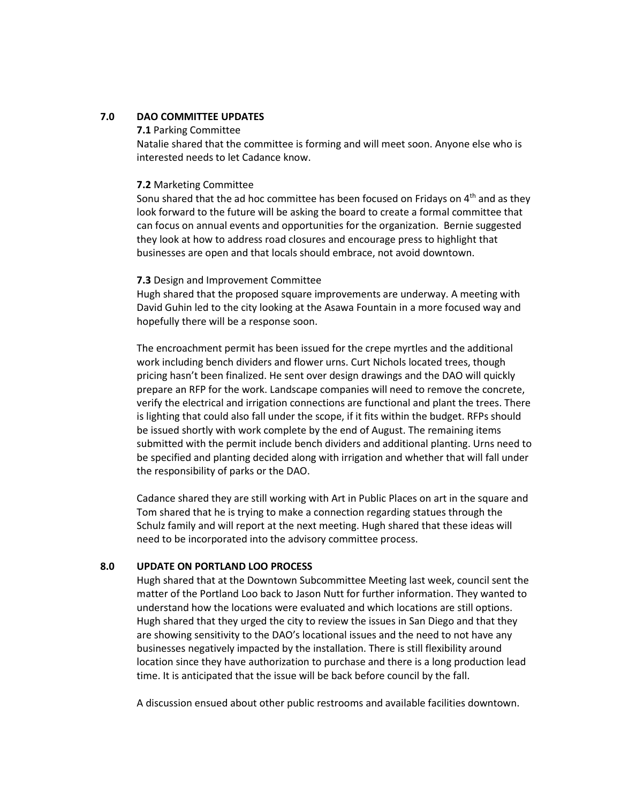## **7.0 DAO COMMITTEE UPDATES**

**7.1** Parking Committee

Natalie shared that the committee is forming and will meet soon. Anyone else who is interested needs to let Cadance know.

#### **7.2** Marketing Committee

Sonu shared that the ad hoc committee has been focused on Fridays on  $4<sup>th</sup>$  and as they look forward to the future will be asking the board to create a formal committee that can focus on annual events and opportunities for the organization. Bernie suggested they look at how to address road closures and encourage press to highlight that businesses are open and that locals should embrace, not avoid downtown.

#### **7.3** Design and Improvement Committee

Hugh shared that the proposed square improvements are underway. A meeting with David Guhin led to the city looking at the Asawa Fountain in a more focused way and hopefully there will be a response soon.

The encroachment permit has been issued for the crepe myrtles and the additional work including bench dividers and flower urns. Curt Nichols located trees, though pricing hasn't been finalized. He sent over design drawings and the DAO will quickly prepare an RFP for the work. Landscape companies will need to remove the concrete, verify the electrical and irrigation connections are functional and plant the trees. There is lighting that could also fall under the scope, if it fits within the budget. RFPs should be issued shortly with work complete by the end of August. The remaining items submitted with the permit include bench dividers and additional planting. Urns need to be specified and planting decided along with irrigation and whether that will fall under the responsibility of parks or the DAO.

Cadance shared they are still working with Art in Public Places on art in the square and Tom shared that he is trying to make a connection regarding statues through the Schulz family and will report at the next meeting. Hugh shared that these ideas will need to be incorporated into the advisory committee process.

# **8.0 UPDATE ON PORTLAND LOO PROCESS**

Hugh shared that at the Downtown Subcommittee Meeting last week, council sent the matter of the Portland Loo back to Jason Nutt for further information. They wanted to understand how the locations were evaluated and which locations are still options. Hugh shared that they urged the city to review the issues in San Diego and that they are showing sensitivity to the DAO's locational issues and the need to not have any businesses negatively impacted by the installation. There is still flexibility around location since they have authorization to purchase and there is a long production lead time. It is anticipated that the issue will be back before council by the fall.

A discussion ensued about other public restrooms and available facilities downtown.